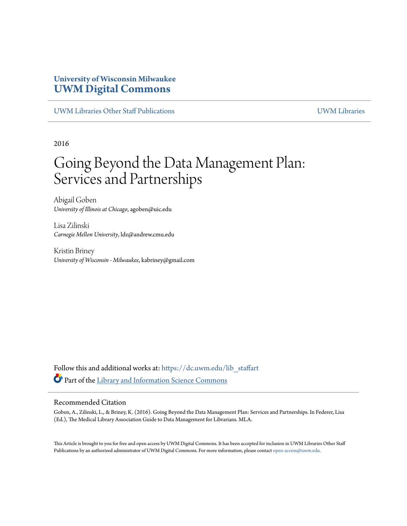# **University of Wisconsin Milwaukee [UWM Digital Commons](https://dc.uwm.edu/?utm_source=dc.uwm.edu%2Flib_staffart%2F9&utm_medium=PDF&utm_campaign=PDFCoverPages)**

[UWM Libraries Other Staff Publications](https://dc.uwm.edu/lib_staffart?utm_source=dc.uwm.edu%2Flib_staffart%2F9&utm_medium=PDF&utm_campaign=PDFCoverPages) [UWM Libraries](https://dc.uwm.edu/libraries?utm_source=dc.uwm.edu%2Flib_staffart%2F9&utm_medium=PDF&utm_campaign=PDFCoverPages)

2016

# Going Beyond the Data Management Plan: Services and Partnerships

Abigail Goben *University of Illinois at Chicago*, agoben@uic.edu

Lisa Zilinski *Carnegie Mellon University*, ldz@andrew.cmu.edu

Kristin Briney *University of Wisconsin - Milwaukee*, kabriney@gmail.com

Follow this and additional works at: [https://dc.uwm.edu/lib\\_staffart](https://dc.uwm.edu/lib_staffart?utm_source=dc.uwm.edu%2Flib_staffart%2F9&utm_medium=PDF&utm_campaign=PDFCoverPages) Part of the [Library and Information Science Commons](http://network.bepress.com/hgg/discipline/1018?utm_source=dc.uwm.edu%2Flib_staffart%2F9&utm_medium=PDF&utm_campaign=PDFCoverPages)

#### Recommended Citation

Goben, A., Zilinski, L., & Briney, K. (2016). Going Beyond the Data Management Plan: Services and Partnerships. In Federer, Lisa (Ed.), The Medical Library Association Guide to Data Management for Librarians. MLA.

This Article is brought to you for free and open access by UWM Digital Commons. It has been accepted for inclusion in UWM Libraries Other Staff Publications by an authorized administrator of UWM Digital Commons. For more information, please contact [open-access@uwm.edu](mailto:open-access@uwm.edu).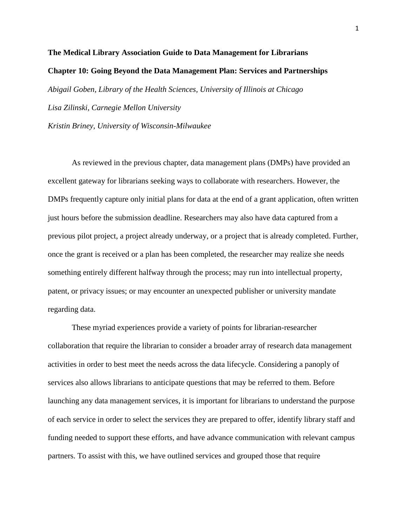# **The Medical Library Association Guide to Data Management for Librarians Chapter 10: Going Beyond the Data Management Plan: Services and Partnerships** *Abigail Goben, Library of the Health Sciences, University of Illinois at Chicago Lisa Zilinski, Carnegie Mellon University Kristin Briney, University of Wisconsin-Milwaukee*

As reviewed in the previous chapter, data management plans (DMPs) have provided an excellent gateway for librarians seeking ways to collaborate with researchers. However, the DMPs frequently capture only initial plans for data at the end of a grant application, often written just hours before the submission deadline. Researchers may also have data captured from a previous pilot project, a project already underway, or a project that is already completed. Further, once the grant is received or a plan has been completed, the researcher may realize she needs something entirely different halfway through the process; may run into intellectual property, patent, or privacy issues; or may encounter an unexpected publisher or university mandate regarding data.

These myriad experiences provide a variety of points for librarian-researcher collaboration that require the librarian to consider a broader array of research data management activities in order to best meet the needs across the data lifecycle. Considering a panoply of services also allows librarians to anticipate questions that may be referred to them. Before launching any data management services, it is important for librarians to understand the purpose of each service in order to select the services they are prepared to offer, identify library staff and funding needed to support these efforts, and have advance communication with relevant campus partners. To assist with this, we have outlined services and grouped those that require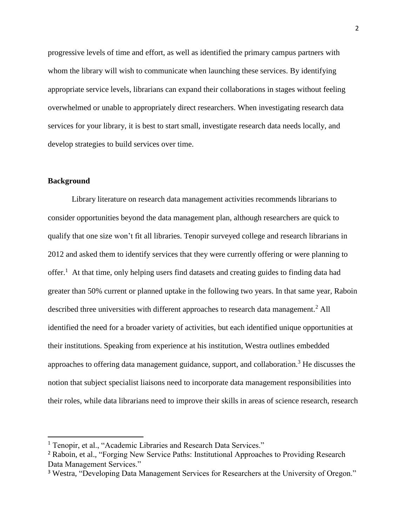progressive levels of time and effort, as well as identified the primary campus partners with whom the library will wish to communicate when launching these services. By identifying appropriate service levels, librarians can expand their collaborations in stages without feeling overwhelmed or unable to appropriately direct researchers. When investigating research data services for your library, it is best to start small, investigate research data needs locally, and develop strategies to build services over time.

#### **Background**

 $\overline{\phantom{a}}$ 

Library literature on research data management activities recommends librarians to consider opportunities beyond the data management plan, although researchers are quick to qualify that one size won't fit all libraries. Tenopir surveyed college and research librarians in 2012 and asked them to identify services that they were currently offering or were planning to offer.<sup>1</sup> At that time, only helping users find datasets and creating guides to finding data had greater than 50% current or planned uptake in the following two years. In that same year, Raboin described three universities with different approaches to research data management.<sup>2</sup> All identified the need for a broader variety of activities, but each identified unique opportunities at their institutions. Speaking from experience at his institution, Westra outlines embedded approaches to offering data management guidance, support, and collaboration.<sup>3</sup> He discusses the notion that subject specialist liaisons need to incorporate data management responsibilities into their roles, while data librarians need to improve their skills in areas of science research, research

<sup>&</sup>lt;sup>1</sup> Tenopir, et al., "Academic Libraries and Research Data Services."

<sup>2</sup> Raboin, et al., "Forging New Service Paths: Institutional Approaches to Providing Research Data Management Services."

<sup>&</sup>lt;sup>3</sup> Westra, "Developing Data Management Services for Researchers at the University of Oregon."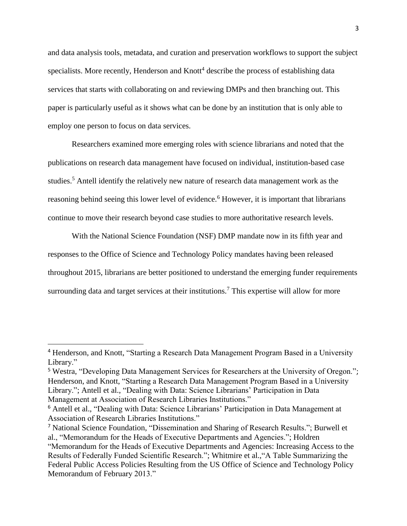and data analysis tools, metadata, and curation and preservation workflows to support the subject specialists. More recently, Henderson and Knott<sup>4</sup> describe the process of establishing data services that starts with collaborating on and reviewing DMPs and then branching out. This paper is particularly useful as it shows what can be done by an institution that is only able to employ one person to focus on data services.

Researchers examined more emerging roles with science librarians and noted that the publications on research data management have focused on individual, institution-based case studies.<sup>5</sup> Antell identify the relatively new nature of research data management work as the reasoning behind seeing this lower level of evidence.<sup>6</sup> However, it is important that librarians continue to move their research beyond case studies to more authoritative research levels.

With the National Science Foundation (NSF) DMP mandate now in its fifth year and responses to the Office of Science and Technology Policy mandates having been released throughout 2015, librarians are better positioned to understand the emerging funder requirements surrounding data and target services at their institutions.<sup>7</sup> This expertise will allow for more

l

<sup>4</sup> Henderson, and Knott, "Starting a Research Data Management Program Based in a University Library."

<sup>5</sup> Westra, "Developing Data Management Services for Researchers at the University of Oregon."; Henderson, and Knott, "Starting a Research Data Management Program Based in a University Library."; Antell et al., "Dealing with Data: Science Librarians' Participation in Data Management at Association of Research Libraries Institutions."

<sup>6</sup> Antell et al., "Dealing with Data: Science Librarians' Participation in Data Management at Association of Research Libraries Institutions."

<sup>7</sup> National Science Foundation, "Dissemination and Sharing of Research Results."; Burwell et al., "Memorandum for the Heads of Executive Departments and Agencies."; Holdren "Memorandum for the Heads of Executive Departments and Agencies: Increasing Access to the Results of Federally Funded Scientific Research."; Whitmire et al.,"A Table Summarizing the Federal Public Access Policies Resulting from the US Office of Science and Technology Policy Memorandum of February 2013."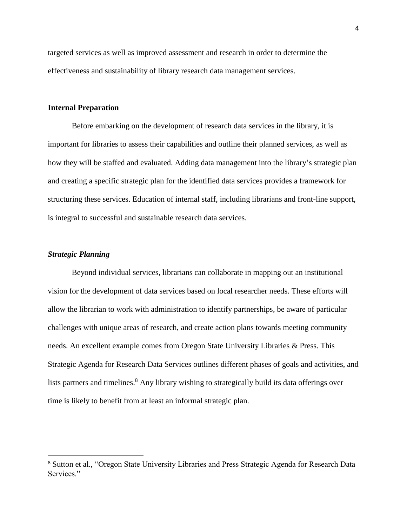targeted services as well as improved assessment and research in order to determine the effectiveness and sustainability of library research data management services.

### **Internal Preparation**

Before embarking on the development of research data services in the library, it is important for libraries to assess their capabilities and outline their planned services, as well as how they will be staffed and evaluated. Adding data management into the library's strategic plan and creating a specific strategic plan for the identified data services provides a framework for structuring these services. Education of internal staff, including librarians and front-line support, is integral to successful and sustainable research data services.

# *Strategic Planning*

 $\overline{\phantom{a}}$ 

Beyond individual services, librarians can collaborate in mapping out an institutional vision for the development of data services based on local researcher needs. These efforts will allow the librarian to work with administration to identify partnerships, be aware of particular challenges with unique areas of research, and create action plans towards meeting community needs. An excellent example comes from Oregon State University Libraries & Press. This Strategic Agenda for Research Data Services outlines different phases of goals and activities, and lists partners and timelines.<sup>8</sup> Any library wishing to strategically build its data offerings over time is likely to benefit from at least an informal strategic plan.

<sup>8</sup> Sutton et al., "Oregon State University Libraries and Press Strategic Agenda for Research Data Services."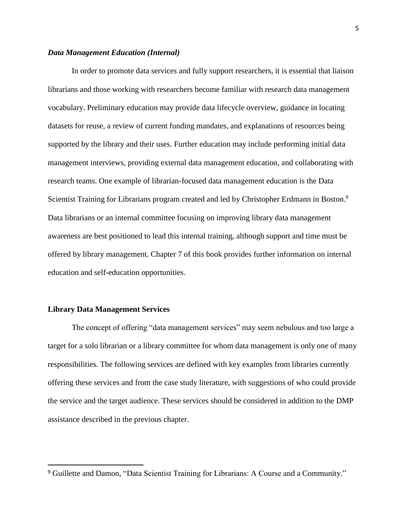#### *Data Management Education (Internal)*

In order to promote data services and fully support researchers, it is essential that liaison librarians and those working with researchers become familiar with research data management vocabulary. Preliminary education may provide data lifecycle overview, guidance in locating datasets for reuse, a review of current funding mandates, and explanations of resources being supported by the library and their uses. Further education may include performing initial data management interviews, providing external data management education, and collaborating with research teams. One example of librarian-focused data management education is the Data Scientist Training for Librarians program created and led by Christopher Erdmann in Boston.<sup>9</sup> Data librarians or an internal committee focusing on improving library data management awareness are best positioned to lead this internal training, although support and time must be offered by library management. Chapter 7 of this book provides further information on internal education and self-education opportunities.

#### **Library Data Management Services**

 $\overline{\phantom{a}}$ 

The concept of offering "data management services" may seem nebulous and too large a target for a solo librarian or a library committee for whom data management is only one of many responsibilities. The following services are defined with key examples from libraries currently offering these services and from the case study literature, with suggestions of who could provide the service and the target audience. These services should be considered in addition to the DMP assistance described in the previous chapter.

<sup>&</sup>lt;sup>9</sup> Guillette and Damon, "Data Scientist Training for Librarians: A Course and a Community."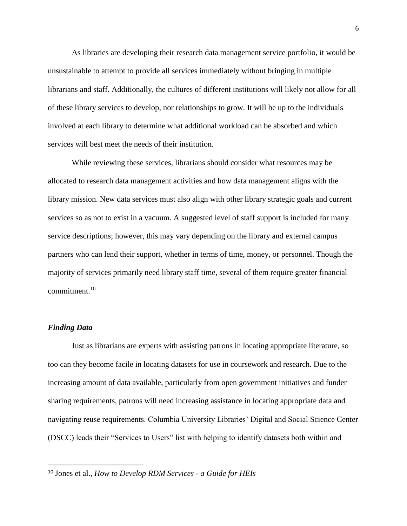As libraries are developing their research data management service portfolio, it would be unsustainable to attempt to provide all services immediately without bringing in multiple librarians and staff. Additionally, the cultures of different institutions will likely not allow for all of these library services to develop, nor relationships to grow. It will be up to the individuals involved at each library to determine what additional workload can be absorbed and which services will best meet the needs of their institution.

While reviewing these services, librarians should consider what resources may be allocated to research data management activities and how data management aligns with the library mission. New data services must also align with other library strategic goals and current services so as not to exist in a vacuum. A suggested level of staff support is included for many service descriptions; however, this may vary depending on the library and external campus partners who can lend their support, whether in terms of time, money, or personnel. Though the majority of services primarily need library staff time, several of them require greater financial commitment.<sup>10</sup>

#### *Finding Data*

 $\overline{\phantom{a}}$ 

Just as librarians are experts with assisting patrons in locating appropriate literature, so too can they become facile in locating datasets for use in coursework and research. Due to the increasing amount of data available, particularly from open government initiatives and funder sharing requirements, patrons will need increasing assistance in locating appropriate data and navigating reuse requirements. Columbia University Libraries' Digital and Social Science Center (DSCC) leads their "Services to Users" list with helping to identify datasets both within and

<sup>10</sup> Jones et al., *How to Develop RDM Services - a Guide for HEIs*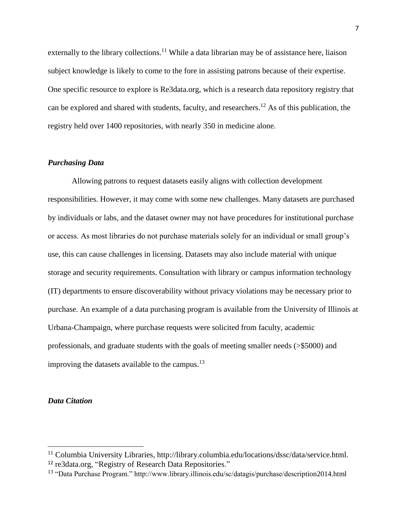externally to the library collections.<sup>11</sup> While a data librarian may be of assistance here, liaison subject knowledge is likely to come to the fore in assisting patrons because of their expertise. One specific resource to explore is Re3data.org, which is a research data repository registry that can be explored and shared with students, faculty, and researchers.<sup>12</sup> As of this publication, the registry held over 1400 repositories, with nearly 350 in medicine alone.

### *Purchasing Data*

Allowing patrons to request datasets easily aligns with collection development responsibilities. However, it may come with some new challenges. Many datasets are purchased by individuals or labs, and the dataset owner may not have procedures for institutional purchase or access. As most libraries do not purchase materials solely for an individual or small group's use, this can cause challenges in licensing. Datasets may also include material with unique storage and security requirements. Consultation with library or campus information technology (IT) departments to ensure discoverability without privacy violations may be necessary prior to purchase. An example of a data purchasing program is available from the University of Illinois at Urbana-Champaign, where purchase requests were solicited from faculty, academic professionals, and graduate students with the goals of meeting smaller needs (>\$5000) and improving the datasets available to the campus.<sup>13</sup>

#### *Data Citation*

 $\overline{\phantom{a}}$ 

<sup>&</sup>lt;sup>11</sup> Columbia University Libraries, http://library.columbia.edu/locations/dssc/data/service.html. <sup>12</sup> re3data.org, "Registry of Research Data Repositories."

<sup>13</sup> "Data Purchase Program." http://www.library.illinois.edu/sc/datagis/purchase/description2014.html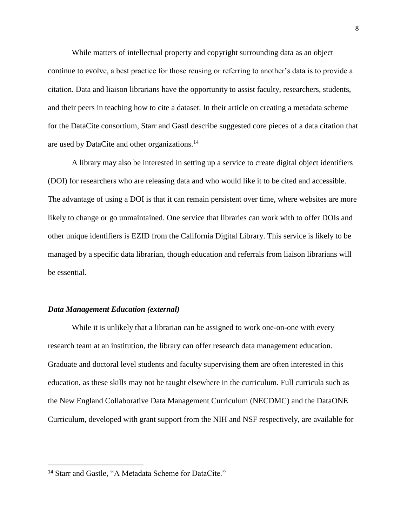While matters of intellectual property and copyright surrounding data as an object continue to evolve, a best practice for those reusing or referring to another's data is to provide a citation. Data and liaison librarians have the opportunity to assist faculty, researchers, students, and their peers in teaching how to cite a dataset. In their article on creating a metadata scheme for the DataCite consortium, Starr and Gastl describe suggested core pieces of a data citation that are used by DataCite and other organizations.<sup>14</sup>

A library may also be interested in setting up a service to create digital object identifiers (DOI) for researchers who are releasing data and who would like it to be cited and accessible. The advantage of using a DOI is that it can remain persistent over time, where websites are more likely to change or go unmaintained. One service that libraries can work with to offer DOIs and other unique identifiers is EZID from the California Digital Library. This service is likely to be managed by a specific data librarian, though education and referrals from liaison librarians will be essential.

#### *Data Management Education (external)*

While it is unlikely that a librarian can be assigned to work one-on-one with every research team at an institution, the library can offer research data management education. Graduate and doctoral level students and faculty supervising them are often interested in this education, as these skills may not be taught elsewhere in the curriculum. Full curricula such as the New England Collaborative Data Management Curriculum (NECDMC) and the DataONE Curriculum, developed with grant support from the NIH and NSF respectively, are available for

 $\overline{\phantom{a}}$ 

<sup>14</sup> Starr and Gastle, "A Metadata Scheme for DataCite."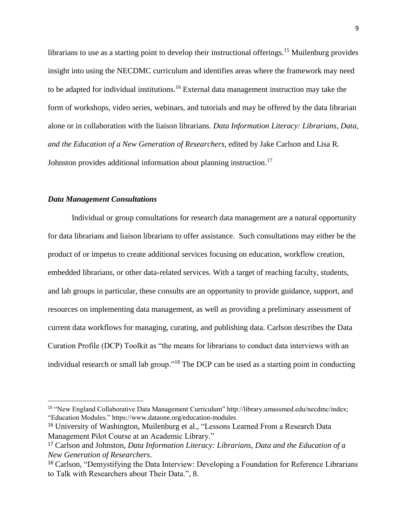librarians to use as a starting point to develop their instructional offerings.<sup>15</sup> Muilenburg provides insight into using the NECDMC curriculum and identifies areas where the framework may need to be adapted for individual institutions.<sup>16</sup> External data management instruction may take the form of workshops, video series, webinars, and tutorials and may be offered by the data librarian alone or in collaboration with the liaison librarians. *Data Information Literacy: Librarians, Data, and the Education of a New Generation of Researchers,* edited by Jake Carlson and Lisa R. Johnston provides additional information about planning instruction.<sup>17</sup>

# *Data Management Consultations*

 $\overline{\phantom{a}}$ 

Individual or group consultations for research data management are a natural opportunity for data librarians and liaison librarians to offer assistance. Such consultations may either be the product of or impetus to create additional services focusing on education, workflow creation, embedded librarians, or other data-related services. With a target of reaching faculty, students, and lab groups in particular, these consults are an opportunity to provide guidance, support, and resources on implementing data management, as well as providing a preliminary assessment of current data workflows for managing, curating, and publishing data. Carlson describes the Data Curation Profile (DCP) Toolkit as "the means for librarians to conduct data interviews with an individual research or small lab group."<sup>18</sup> The DCP can be used as a starting point in conducting

<sup>&</sup>lt;sup>15</sup> "New England Collaborative Data Management Curriculum" http://library.umassmed.edu/necdmc/index; "Education Modules." https://www.dataone.org/education-modules

<sup>16</sup> University of Washington, Muilenburg et al., "Lessons Learned From a Research Data Management Pilot Course at an Academic Library."

<sup>17</sup> Carlson and Johnston, *Data Information Literacy: Librarians, Data and the Education of a New Generation of Researchers*.

<sup>&</sup>lt;sup>18</sup> Carlson, "Demystifying the Data Interview: Developing a Foundation for Reference Librarians to Talk with Researchers about Their Data.", 8.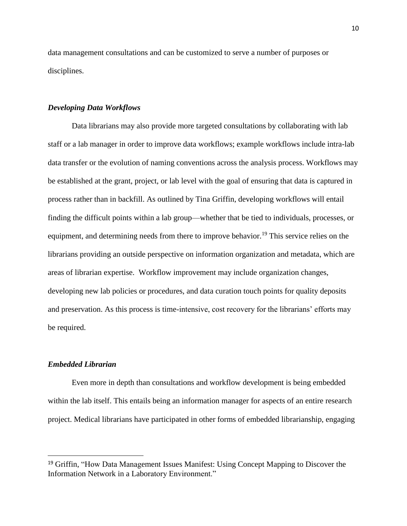data management consultations and can be customized to serve a number of purposes or disciplines.

### *Developing Data Workflows*

Data librarians may also provide more targeted consultations by collaborating with lab staff or a lab manager in order to improve data workflows; example workflows include intra-lab data transfer or the evolution of naming conventions across the analysis process. Workflows may be established at the grant, project, or lab level with the goal of ensuring that data is captured in process rather than in backfill. As outlined by Tina Griffin, developing workflows will entail finding the difficult points within a lab group—whether that be tied to individuals, processes, or equipment, and determining needs from there to improve behavior.<sup>19</sup> This service relies on the librarians providing an outside perspective on information organization and metadata, which are areas of librarian expertise. Workflow improvement may include organization changes, developing new lab policies or procedures, and data curation touch points for quality deposits and preservation. As this process is time-intensive, cost recovery for the librarians' efforts may be required.

# *Embedded Librarian*

 $\overline{\phantom{a}}$ 

Even more in depth than consultations and workflow development is being embedded within the lab itself. This entails being an information manager for aspects of an entire research project. Medical librarians have participated in other forms of embedded librarianship, engaging

<sup>&</sup>lt;sup>19</sup> Griffin, "How Data Management Issues Manifest: Using Concept Mapping to Discover the Information Network in a Laboratory Environment."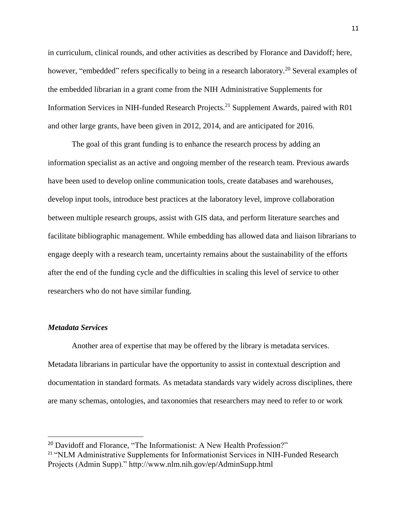in curriculum, clinical rounds, and other activities as described by Florance and Davidoff; here, however, "embedded" refers specifically to being in a research laboratory.<sup>20</sup> Several examples of the embedded librarian in a grant come from the NIH Administrative Supplements for Information Services in NIH-funded Research Projects.<sup>21</sup> Supplement Awards, paired with R01 and other large grants, have been given in 2012, 2014, and are anticipated for 2016.

The goal of this grant funding is to enhance the research process by adding an information specialist as an active and ongoing member of the research team. Previous awards have been used to develop online communication tools, create databases and warehouses, develop input tools, introduce best practices at the laboratory level, improve collaboration between multiple research groups, assist with GIS data, and perform literature searches and facilitate bibliographic management. While embedding has allowed data and liaison librarians to engage deeply with a research team, uncertainty remains about the sustainability of the efforts after the end of the funding cycle and the difficulties in scaling this level of service to other researchers who do not have similar funding.

### *Metadata Services*

 $\overline{\phantom{a}}$ 

Another area of expertise that may be offered by the library is metadata services. Metadata librarians in particular have the opportunity to assist in contextual description and documentation in standard formats. As metadata standards vary widely across disciplines, there are many schemas, ontologies, and taxonomies that researchers may need to refer to or work

<sup>&</sup>lt;sup>20</sup> Davidoff and Florance, "The Informationist: A New Health Profession?"

<sup>&</sup>lt;sup>21</sup> "NLM Administrative Supplements for Informationist Services in NIH-Funded Research Projects (Admin Supp)." http://www.nlm.nih.gov/ep/AdminSupp.html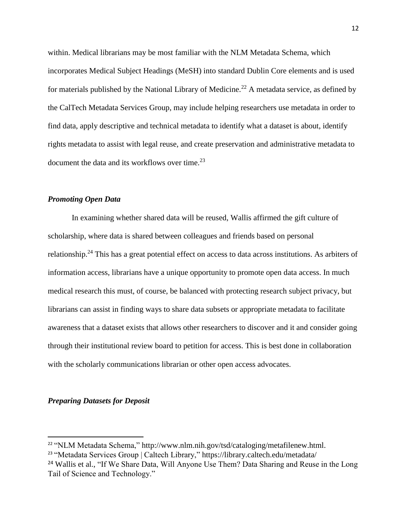within. Medical librarians may be most familiar with the NLM Metadata Schema, which incorporates Medical Subject Headings (MeSH) into standard Dublin Core elements and is used for materials published by the National Library of Medicine.<sup>22</sup> A metadata service, as defined by the CalTech Metadata Services Group, may include helping researchers use metadata in order to find data, apply descriptive and technical metadata to identify what a dataset is about, identify rights metadata to assist with legal reuse, and create preservation and administrative metadata to document the data and its workflows over time.<sup>23</sup>

# *Promoting Open Data*

In examining whether shared data will be reused, Wallis affirmed the gift culture of scholarship, where data is shared between colleagues and friends based on personal relationship.<sup>24</sup> This has a great potential effect on access to data across institutions. As arbiters of information access, librarians have a unique opportunity to promote open data access. In much medical research this must, of course, be balanced with protecting research subject privacy, but librarians can assist in finding ways to share data subsets or appropriate metadata to facilitate awareness that a dataset exists that allows other researchers to discover and it and consider going through their institutional review board to petition for access. This is best done in collaboration with the scholarly communications librarian or other open access advocates.

# *Preparing Datasets for Deposit*

l

<sup>22</sup> "NLM Metadata Schema," http://www.nlm.nih.gov/tsd/cataloging/metafilenew.html.

<sup>23</sup> "Metadata Services Group | Caltech Library," https://library.caltech.edu/metadata/

<sup>&</sup>lt;sup>24</sup> Wallis et al., "If We Share Data, Will Anyone Use Them? Data Sharing and Reuse in the Long Tail of Science and Technology."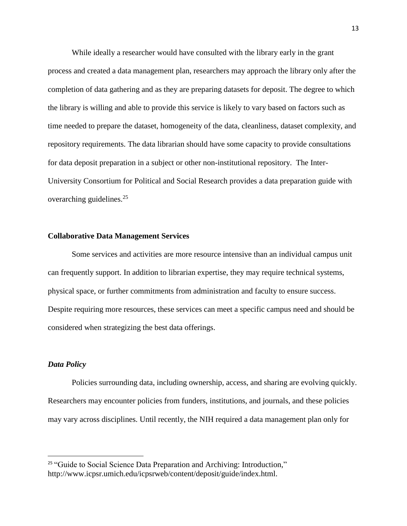While ideally a researcher would have consulted with the library early in the grant process and created a data management plan, researchers may approach the library only after the completion of data gathering and as they are preparing datasets for deposit. The degree to which the library is willing and able to provide this service is likely to vary based on factors such as time needed to prepare the dataset, homogeneity of the data, cleanliness, dataset complexity, and repository requirements. The data librarian should have some capacity to provide consultations for data deposit preparation in a subject or other non-institutional repository. The Inter-University Consortium for Political and Social Research provides a data preparation guide with overarching guidelines.<sup>25</sup>

#### **Collaborative Data Management Services**

Some services and activities are more resource intensive than an individual campus unit can frequently support. In addition to librarian expertise, they may require technical systems, physical space, or further commitments from administration and faculty to ensure success. Despite requiring more resources, these services can meet a specific campus need and should be considered when strategizing the best data offerings.

# *Data Policy*

 $\overline{a}$ 

Policies surrounding data, including ownership, access, and sharing are evolving quickly. Researchers may encounter policies from funders, institutions, and journals, and these policies may vary across disciplines. Until recently, the NIH required a data management plan only for

<sup>&</sup>lt;sup>25</sup> "Guide to Social Science Data Preparation and Archiving: Introduction," http://www.icpsr.umich.edu/icpsrweb/content/deposit/guide/index.html.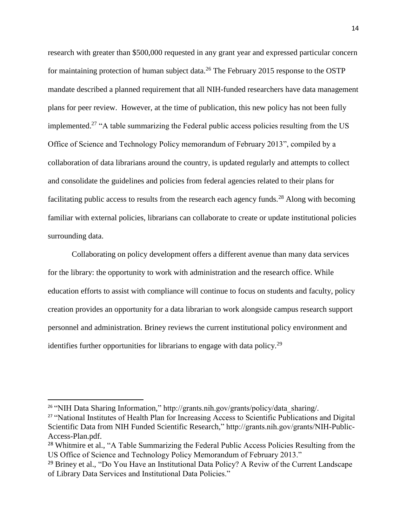research with greater than \$500,000 requested in any grant year and expressed particular concern for maintaining protection of human subject data.<sup>26</sup> The February 2015 response to the OSTP mandate described a planned requirement that all NIH-funded researchers have data management plans for peer review. However, at the time of publication, this new policy has not been fully implemented.<sup>27</sup> "A table summarizing the Federal public access policies resulting from the US Office of Science and Technology Policy memorandum of February 2013", compiled by a collaboration of data librarians around the country, is updated regularly and attempts to collect and consolidate the guidelines and policies from federal agencies related to their plans for facilitating public access to results from the research each agency funds.<sup>28</sup> Along with becoming familiar with external policies, librarians can collaborate to create or update institutional policies surrounding data.

Collaborating on policy development offers a different avenue than many data services for the library: the opportunity to work with administration and the research office. While education efforts to assist with compliance will continue to focus on students and faculty, policy creation provides an opportunity for a data librarian to work alongside campus research support personnel and administration. Briney reviews the current institutional policy environment and identifies further opportunities for librarians to engage with data policy.<sup>29</sup>

 $\overline{\phantom{a}}$ 

<sup>&</sup>lt;sup>26</sup> "NIH Data Sharing Information," http://grants.nih.gov/grants/policy/data\_sharing/.

<sup>&</sup>lt;sup>27</sup> "National Institutes of Health Plan for Increasing Access to Scientific Publications and Digital Scientific Data from NIH Funded Scientific Research," http://grants.nih.gov/grants/NIH-Public-Access-Plan.pdf.

<sup>&</sup>lt;sup>28</sup> Whitmire et al., "A Table Summarizing the Federal Public Access Policies Resulting from the US Office of Science and Technology Policy Memorandum of February 2013."

<sup>&</sup>lt;sup>29</sup> Briney et al., "Do You Have an Institutional Data Policy? A Reviw of the Current Landscape of Library Data Services and Institutional Data Policies."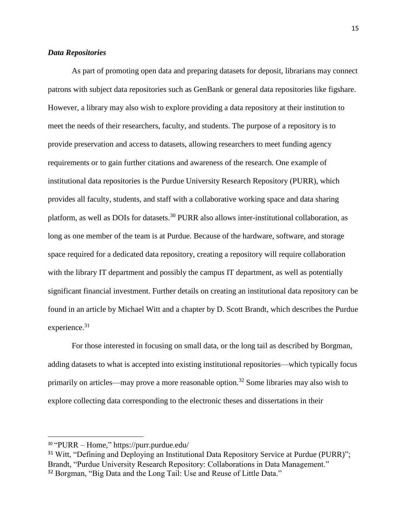# *Data Repositories*

As part of promoting open data and preparing datasets for deposit, librarians may connect patrons with subject data repositories such as GenBank or general data repositories like figshare. However, a library may also wish to explore providing a data repository at their institution to meet the needs of their researchers, faculty, and students. The purpose of a repository is to provide preservation and access to datasets, allowing researchers to meet funding agency requirements or to gain further citations and awareness of the research. One example of institutional data repositories is the Purdue University Research Repository (PURR), which provides all faculty, students, and staff with a collaborative working space and data sharing platform, as well as DOIs for datasets.<sup>30</sup> PURR also allows inter-institutional collaboration, as long as one member of the team is at Purdue. Because of the hardware, software, and storage space required for a dedicated data repository, creating a repository will require collaboration with the library IT department and possibly the campus IT department, as well as potentially significant financial investment. Further details on creating an institutional data repository can be found in an article by Michael Witt and a chapter by D. Scott Brandt, which describes the Purdue experience.<sup>31</sup>

For those interested in focusing on small data, or the long tail as described by Borgman, adding datasets to what is accepted into existing institutional repositories—which typically focus primarily on articles—may prove a more reasonable option.<sup>32</sup> Some libraries may also wish to explore collecting data corresponding to the electronic theses and dissertations in their

 $\overline{\phantom{a}}$ 

<sup>30</sup> "PURR – Home," https://purr.purdue.edu/

<sup>&</sup>lt;sup>31</sup> Witt, "Defining and Deploying an Institutional Data Repository Service at Purdue (PURR)"; Brandt, "Purdue University Research Repository: Collaborations in Data Management."

<sup>&</sup>lt;sup>32</sup> Borgman, "Big Data and the Long Tail: Use and Reuse of Little Data."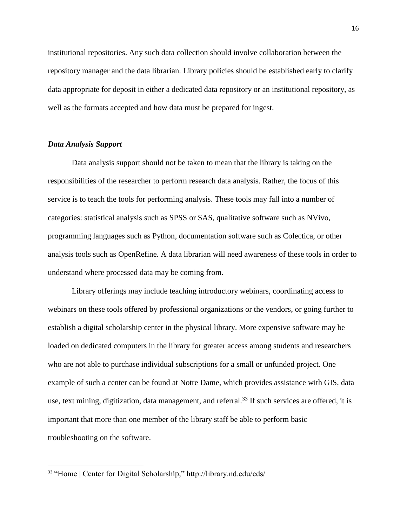institutional repositories. Any such data collection should involve collaboration between the repository manager and the data librarian. Library policies should be established early to clarify data appropriate for deposit in either a dedicated data repository or an institutional repository, as well as the formats accepted and how data must be prepared for ingest.

# *Data Analysis Support*

 $\overline{\phantom{a}}$ 

Data analysis support should not be taken to mean that the library is taking on the responsibilities of the researcher to perform research data analysis. Rather, the focus of this service is to teach the tools for performing analysis. These tools may fall into a number of categories: statistical analysis such as SPSS or SAS, qualitative software such as NVivo, programming languages such as Python, documentation software such as Colectica, or other analysis tools such as OpenRefine. A data librarian will need awareness of these tools in order to understand where processed data may be coming from.

Library offerings may include teaching introductory webinars, coordinating access to webinars on these tools offered by professional organizations or the vendors, or going further to establish a digital scholarship center in the physical library. More expensive software may be loaded on dedicated computers in the library for greater access among students and researchers who are not able to purchase individual subscriptions for a small or unfunded project. One example of such a center can be found at Notre Dame, which provides assistance with GIS, data use, text mining, digitization, data management, and referral.<sup>33</sup> If such services are offered, it is important that more than one member of the library staff be able to perform basic troubleshooting on the software.

<sup>&</sup>lt;sup>33</sup> "Home | Center for Digital Scholarship," http://library.nd.edu/cds/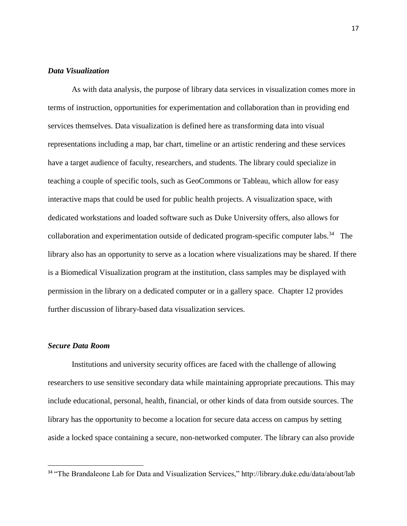### *Data Visualization*

As with data analysis, the purpose of library data services in visualization comes more in terms of instruction, opportunities for experimentation and collaboration than in providing end services themselves. Data visualization is defined here as transforming data into visual representations including a map, bar chart, timeline or an artistic rendering and these services have a target audience of faculty, researchers, and students. The library could specialize in teaching a couple of specific tools, such as GeoCommons or Tableau, which allow for easy interactive maps that could be used for public health projects. A visualization space, with dedicated workstations and loaded software such as Duke University offers, also allows for collaboration and experimentation outside of dedicated program-specific computer labs.<sup>34</sup> The library also has an opportunity to serve as a location where visualizations may be shared. If there is a Biomedical Visualization program at the institution, class samples may be displayed with permission in the library on a dedicated computer or in a gallery space. Chapter 12 provides further discussion of library-based data visualization services.

#### *Secure Data Room*

 $\overline{a}$ 

Institutions and university security offices are faced with the challenge of allowing researchers to use sensitive secondary data while maintaining appropriate precautions. This may include educational, personal, health, financial, or other kinds of data from outside sources. The library has the opportunity to become a location for secure data access on campus by setting aside a locked space containing a secure, non-networked computer. The library can also provide

<sup>&</sup>lt;sup>34</sup> "The Brandaleone Lab for Data and Visualization Services," http://library.duke.edu/data/about/lab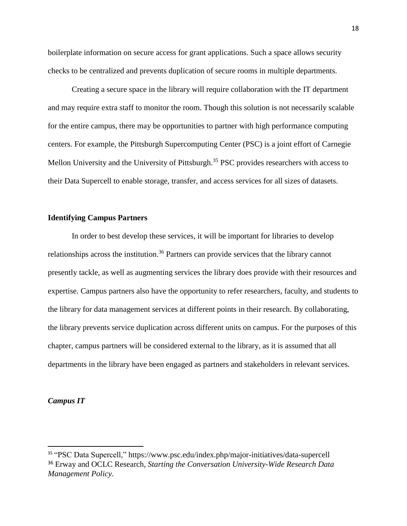boilerplate information on secure access for grant applications. Such a space allows security checks to be centralized and prevents duplication of secure rooms in multiple departments.

Creating a secure space in the library will require collaboration with the IT department and may require extra staff to monitor the room. Though this solution is not necessarily scalable for the entire campus, there may be opportunities to partner with high performance computing centers. For example, the Pittsburgh Supercomputing Center (PSC) is a joint effort of Carnegie Mellon University and the University of Pittsburgh.<sup>35</sup> PSC provides researchers with access to their Data Supercell to enable storage, transfer, and access services for all sizes of datasets.

# **Identifying Campus Partners**

In order to best develop these services, it will be important for libraries to develop relationships across the institution.<sup>36</sup> Partners can provide services that the library cannot presently tackle, as well as augmenting services the library does provide with their resources and expertise. Campus partners also have the opportunity to refer researchers, faculty, and students to the library for data management services at different points in their research. By collaborating, the library prevents service duplication across different units on campus. For the purposes of this chapter, campus partners will be considered external to the library, as it is assumed that all departments in the library have been engaged as partners and stakeholders in relevant services.

### *Campus IT*

 $\overline{a}$ 

<sup>35</sup> "PSC Data Supercell," https://www.psc.edu/index.php/major-initiatives/data-supercell <sup>36</sup> Erway and OCLC Research, *Starting the Conversation University-Wide Research Data Management Policy*.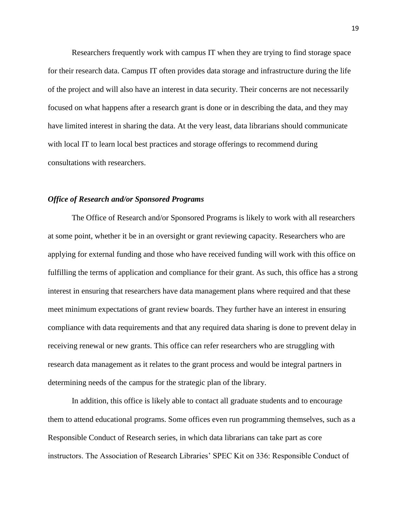Researchers frequently work with campus IT when they are trying to find storage space for their research data. Campus IT often provides data storage and infrastructure during the life of the project and will also have an interest in data security. Their concerns are not necessarily focused on what happens after a research grant is done or in describing the data, and they may have limited interest in sharing the data. At the very least, data librarians should communicate with local IT to learn local best practices and storage offerings to recommend during consultations with researchers.

### *Office of Research and/or Sponsored Programs*

The Office of Research and/or Sponsored Programs is likely to work with all researchers at some point, whether it be in an oversight or grant reviewing capacity. Researchers who are applying for external funding and those who have received funding will work with this office on fulfilling the terms of application and compliance for their grant. As such, this office has a strong interest in ensuring that researchers have data management plans where required and that these meet minimum expectations of grant review boards. They further have an interest in ensuring compliance with data requirements and that any required data sharing is done to prevent delay in receiving renewal or new grants. This office can refer researchers who are struggling with research data management as it relates to the grant process and would be integral partners in determining needs of the campus for the strategic plan of the library.

In addition, this office is likely able to contact all graduate students and to encourage them to attend educational programs. Some offices even run programming themselves, such as a Responsible Conduct of Research series, in which data librarians can take part as core instructors. The Association of Research Libraries' SPEC Kit on 336: Responsible Conduct of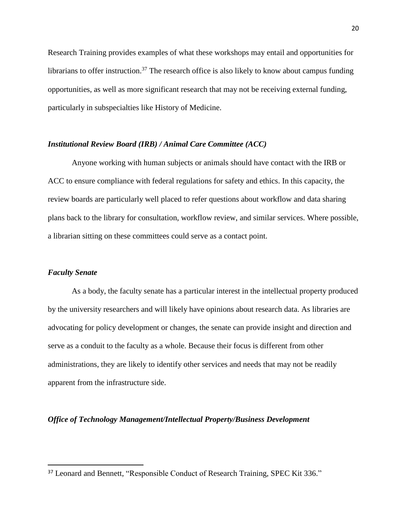Research Training provides examples of what these workshops may entail and opportunities for librarians to offer instruction.<sup>37</sup> The research office is also likely to know about campus funding opportunities, as well as more significant research that may not be receiving external funding, particularly in subspecialties like History of Medicine.

### *Institutional Review Board (IRB) / Animal Care Committee (ACC)*

Anyone working with human subjects or animals should have contact with the IRB or ACC to ensure compliance with federal regulations for safety and ethics. In this capacity, the review boards are particularly well placed to refer questions about workflow and data sharing plans back to the library for consultation, workflow review, and similar services. Where possible, a librarian sitting on these committees could serve as a contact point.

#### *Faculty Senate*

 $\overline{\phantom{a}}$ 

As a body, the faculty senate has a particular interest in the intellectual property produced by the university researchers and will likely have opinions about research data. As libraries are advocating for policy development or changes, the senate can provide insight and direction and serve as a conduit to the faculty as a whole. Because their focus is different from other administrations, they are likely to identify other services and needs that may not be readily apparent from the infrastructure side.

#### *Office of Technology Management/Intellectual Property/Business Development*

<sup>37</sup> Leonard and Bennett, "Responsible Conduct of Research Training, SPEC Kit 336."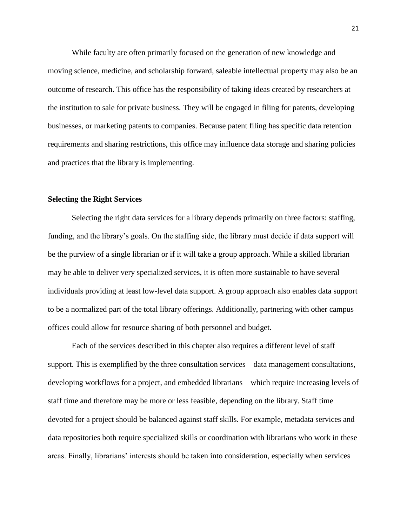While faculty are often primarily focused on the generation of new knowledge and moving science, medicine, and scholarship forward, saleable intellectual property may also be an outcome of research. This office has the responsibility of taking ideas created by researchers at the institution to sale for private business. They will be engaged in filing for patents, developing businesses, or marketing patents to companies. Because patent filing has specific data retention requirements and sharing restrictions, this office may influence data storage and sharing policies and practices that the library is implementing.

# **Selecting the Right Services**

Selecting the right data services for a library depends primarily on three factors: staffing, funding, and the library's goals. On the staffing side, the library must decide if data support will be the purview of a single librarian or if it will take a group approach. While a skilled librarian may be able to deliver very specialized services, it is often more sustainable to have several individuals providing at least low-level data support. A group approach also enables data support to be a normalized part of the total library offerings. Additionally, partnering with other campus offices could allow for resource sharing of both personnel and budget.

Each of the services described in this chapter also requires a different level of staff support. This is exemplified by the three consultation services – data management consultations, developing workflows for a project, and embedded librarians – which require increasing levels of staff time and therefore may be more or less feasible, depending on the library. Staff time devoted for a project should be balanced against staff skills. For example, metadata services and data repositories both require specialized skills or coordination with librarians who work in these areas. Finally, librarians' interests should be taken into consideration, especially when services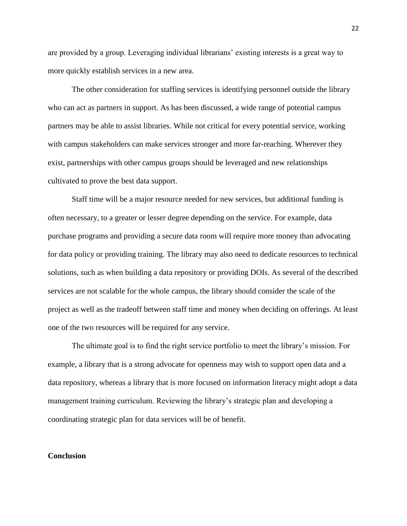are provided by a group. Leveraging individual librarians' existing interests is a great way to more quickly establish services in a new area.

The other consideration for staffing services is identifying personnel outside the library who can act as partners in support. As has been discussed, a wide range of potential campus partners may be able to assist libraries. While not critical for every potential service, working with campus stakeholders can make services stronger and more far-reaching. Wherever they exist, partnerships with other campus groups should be leveraged and new relationships cultivated to prove the best data support.

Staff time will be a major resource needed for new services, but additional funding is often necessary, to a greater or lesser degree depending on the service. For example, data purchase programs and providing a secure data room will require more money than advocating for data policy or providing training. The library may also need to dedicate resources to technical solutions, such as when building a data repository or providing DOIs. As several of the described services are not scalable for the whole campus, the library should consider the scale of the project as well as the tradeoff between staff time and money when deciding on offerings. At least one of the two resources will be required for any service.

The ultimate goal is to find the right service portfolio to meet the library's mission. For example, a library that is a strong advocate for openness may wish to support open data and a data repository, whereas a library that is more focused on information literacy might adopt a data management training curriculum. Reviewing the library's strategic plan and developing a coordinating strategic plan for data services will be of benefit.

#### **Conclusion**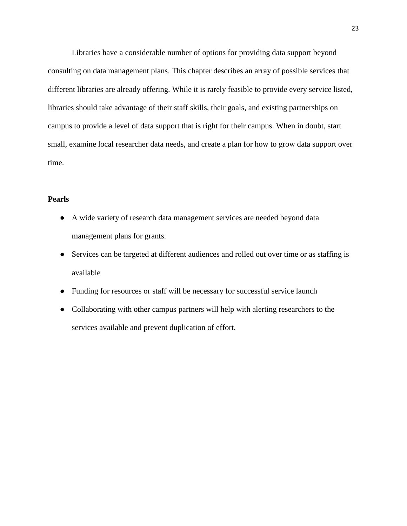Libraries have a considerable number of options for providing data support beyond consulting on data management plans. This chapter describes an array of possible services that different libraries are already offering. While it is rarely feasible to provide every service listed, libraries should take advantage of their staff skills, their goals, and existing partnerships on campus to provide a level of data support that is right for their campus. When in doubt, start small, examine local researcher data needs, and create a plan for how to grow data support over time.

# **Pearls**

- A wide variety of research data management services are needed beyond data management plans for grants.
- Services can be targeted at different audiences and rolled out over time or as staffing is available
- Funding for resources or staff will be necessary for successful service launch
- Collaborating with other campus partners will help with alerting researchers to the services available and prevent duplication of effort.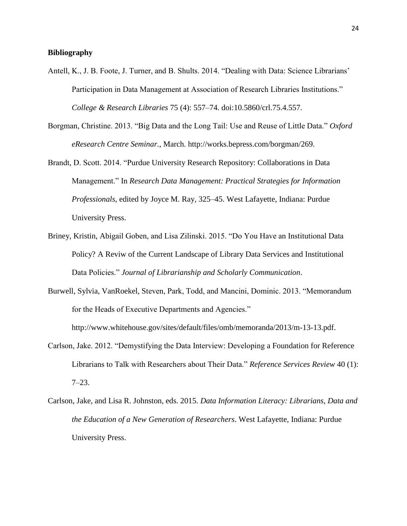# **Bibliography**

- Antell, K., J. B. Foote, J. Turner, and B. Shults. 2014. "Dealing with Data: Science Librarians' Participation in Data Management at Association of Research Libraries Institutions." *College & Research Libraries* 75 (4): 557–74. doi:10.5860/crl.75.4.557.
- Borgman, Christine. 2013. "Big Data and the Long Tail: Use and Reuse of Little Data." *Oxford eResearch Centre Seminar.*, March. http://works.bepress.com/borgman/269.
- Brandt, D. Scott. 2014. "Purdue University Research Repository: Collaborations in Data Management." In *Research Data Management: Practical Strategies for Information Professionals*, edited by Joyce M. Ray, 325–45. West Lafayette, Indiana: Purdue University Press.
- Briney, Kristin, Abigail Goben, and Lisa Zilinski. 2015. "Do You Have an Institutional Data Policy? A Reviw of the Current Landscape of Library Data Services and Institutional Data Policies." *Journal of Librarianship and Scholarly Communication*.
- Burwell, Sylvia, VanRoekel, Steven, Park, Todd, and Mancini, Dominic. 2013. "Memorandum for the Heads of Executive Departments and Agencies."

http://www.whitehouse.gov/sites/default/files/omb/memoranda/2013/m-13-13.pdf.

- Carlson, Jake. 2012. "Demystifying the Data Interview: Developing a Foundation for Reference Librarians to Talk with Researchers about Their Data." *Reference Services Review* 40 (1): 7–23.
- Carlson, Jake, and Lisa R. Johnston, eds. 2015. *Data Information Literacy: Librarians, Data and the Education of a New Generation of Researchers*. West Lafayette, Indiana: Purdue University Press.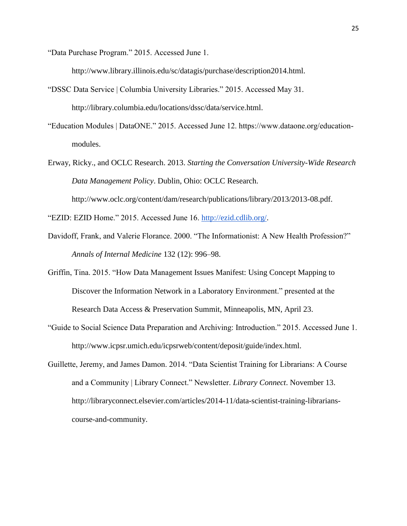"Data Purchase Program." 2015. Accessed June 1.

http://www.library.illinois.edu/sc/datagis/purchase/description2014.html.

- "DSSC Data Service | Columbia University Libraries." 2015. Accessed May 31. http://library.columbia.edu/locations/dssc/data/service.html.
- "Education Modules | DataONE." 2015. Accessed June 12. https://www.dataone.org/educationmodules.
- Erway, Ricky., and OCLC Research. 2013. *Starting the Conversation University-Wide Research Data Management Policy*. Dublin, Ohio: OCLC Research. http://www.oclc.org/content/dam/research/publications/library/2013/2013-08.pdf.

"EZID: EZID Home." 2015. Accessed June 16. [http://ezid.cdlib.org/.](http://ezid.cdlib.org/)

- Davidoff, Frank, and Valerie Florance. 2000. "The Informationist: A New Health Profession?" *Annals of Internal Medicine* 132 (12): 996–98.
- Griffin, Tina. 2015. "How Data Management Issues Manifest: Using Concept Mapping to Discover the Information Network in a Laboratory Environment." presented at the Research Data Access & Preservation Summit, Minneapolis, MN, April 23.
- "Guide to Social Science Data Preparation and Archiving: Introduction." 2015. Accessed June 1. http://www.icpsr.umich.edu/icpsrweb/content/deposit/guide/index.html.
- Guillette, Jeremy, and James Damon. 2014. "Data Scientist Training for Librarians: A Course and a Community | Library Connect." Newsletter. *Library Connect*. November 13. http://libraryconnect.elsevier.com/articles/2014-11/data-scientist-training-librarianscourse-and-community.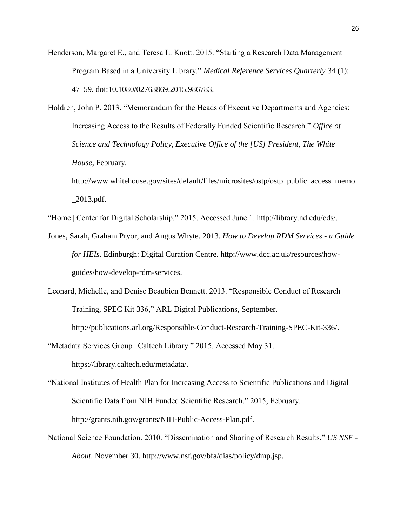- Henderson, Margaret E., and Teresa L. Knott. 2015. "Starting a Research Data Management Program Based in a University Library." *Medical Reference Services Quarterly* 34 (1): 47–59. doi:10.1080/02763869.2015.986783.
- Holdren, John P. 2013. "Memorandum for the Heads of Executive Departments and Agencies: Increasing Access to the Results of Federally Funded Scientific Research." *Office of Science and Technology Policy, Executive Office of the [US] President, The White House*, February.
	- http://www.whitehouse.gov/sites/default/files/microsites/ostp/ostp\_public\_access\_memo  $\_2013.pdf$ .

"Home | Center for Digital Scholarship." 2015. Accessed June 1. http://library.nd.edu/cds/.

- Jones, Sarah, Graham Pryor, and Angus Whyte. 2013. *How to Develop RDM Services - a Guide for HEIs*. Edinburgh: Digital Curation Centre. http://www.dcc.ac.uk/resources/howguides/how-develop-rdm-services.
- Leonard, Michelle, and Denise Beaubien Bennett. 2013. "Responsible Conduct of Research Training, SPEC Kit 336," ARL Digital Publications, September.

http://publications.arl.org/Responsible-Conduct-Research-Training-SPEC-Kit-336/.

"Metadata Services Group | Caltech Library." 2015. Accessed May 31.

https://library.caltech.edu/metadata/.

- "National Institutes of Health Plan for Increasing Access to Scientific Publications and Digital Scientific Data from NIH Funded Scientific Research." 2015, February. http://grants.nih.gov/grants/NIH-Public-Access-Plan.pdf.
- National Science Foundation. 2010. "Dissemination and Sharing of Research Results." *US NSF - About*. November 30. http://www.nsf.gov/bfa/dias/policy/dmp.jsp.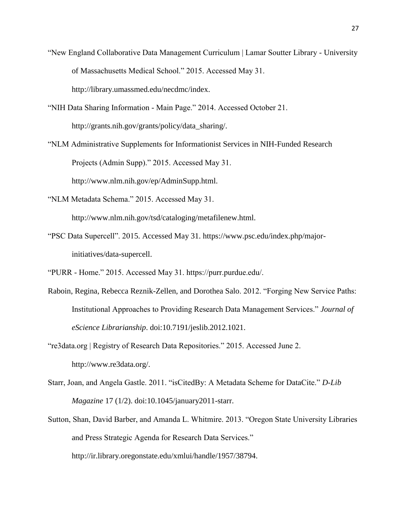"New England Collaborative Data Management Curriculum | Lamar Soutter Library - University of Massachusetts Medical School." 2015. Accessed May 31.

http://library.umassmed.edu/necdmc/index.

"NIH Data Sharing Information - Main Page." 2014. Accessed October 21.

http://grants.nih.gov/grants/policy/data\_sharing/.

- "NLM Administrative Supplements for Informationist Services in NIH-Funded Research Projects (Admin Supp)." 2015. Accessed May 31. http://www.nlm.nih.gov/ep/AdminSupp.html.
- "NLM Metadata Schema." 2015. Accessed May 31.

http://www.nlm.nih.gov/tsd/cataloging/metafilenew.html.

- "PSC Data Supercell". 2015. Accessed May 31. https://www.psc.edu/index.php/majorinitiatives/data-supercell.
- "PURR Home." 2015. Accessed May 31. https://purr.purdue.edu/.
- Raboin, Regina, Rebecca Reznik-Zellen, and Dorothea Salo. 2012. "Forging New Service Paths: Institutional Approaches to Providing Research Data Management Services." *Journal of eScience Librarianship*. doi:10.7191/jeslib.2012.1021.
- "re3data.org | Registry of Research Data Repositories." 2015. Accessed June 2. http://www.re3data.org/.
- Starr, Joan, and Angela Gastle. 2011. "isCitedBy: A Metadata Scheme for DataCite." *D-Lib Magazine* 17 (1/2). doi:10.1045/january2011-starr.
- Sutton, Shan, David Barber, and Amanda L. Whitmire. 2013. "Oregon State University Libraries and Press Strategic Agenda for Research Data Services." http://ir.library.oregonstate.edu/xmlui/handle/1957/38794.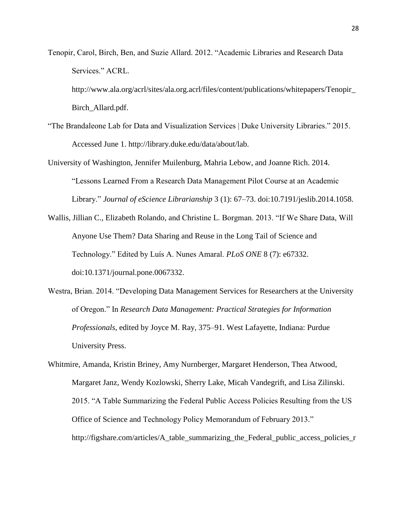Tenopir, Carol, Birch, Ben, and Suzie Allard. 2012. "Academic Libraries and Research Data Services." ACRL.

http://www.ala.org/acrl/sites/ala.org.acrl/files/content/publications/whitepapers/Tenopir\_ Birch\_Allard.pdf.

"The Brandaleone Lab for Data and Visualization Services | Duke University Libraries." 2015. Accessed June 1. http://library.duke.edu/data/about/lab.

University of Washington, Jennifer Muilenburg, Mahria Lebow, and Joanne Rich. 2014. "Lessons Learned From a Research Data Management Pilot Course at an Academic Library." *Journal of eScience Librarianship* 3 (1): 67–73. doi:10.7191/jeslib.2014.1058.

- Wallis, Jillian C., Elizabeth Rolando, and Christine L. Borgman. 2013. "If We Share Data, Will Anyone Use Them? Data Sharing and Reuse in the Long Tail of Science and Technology." Edited by Luís A. Nunes Amaral. *PLoS ONE* 8 (7): e67332. doi:10.1371/journal.pone.0067332.
- Westra, Brian. 2014. "Developing Data Management Services for Researchers at the University of Oregon." In *Research Data Management: Practical Strategies for Information Professionals*, edited by Joyce M. Ray, 375–91. West Lafayette, Indiana: Purdue University Press.
- Whitmire, Amanda, Kristin Briney, Amy Nurnberger, Margaret Henderson, Thea Atwood, Margaret Janz, Wendy Kozlowski, Sherry Lake, Micah Vandegrift, and Lisa Zilinski. 2015. "A Table Summarizing the Federal Public Access Policies Resulting from the US Office of Science and Technology Policy Memorandum of February 2013." http://figshare.com/articles/A\_table\_summarizing\_the\_Federal\_public\_access\_policies\_r